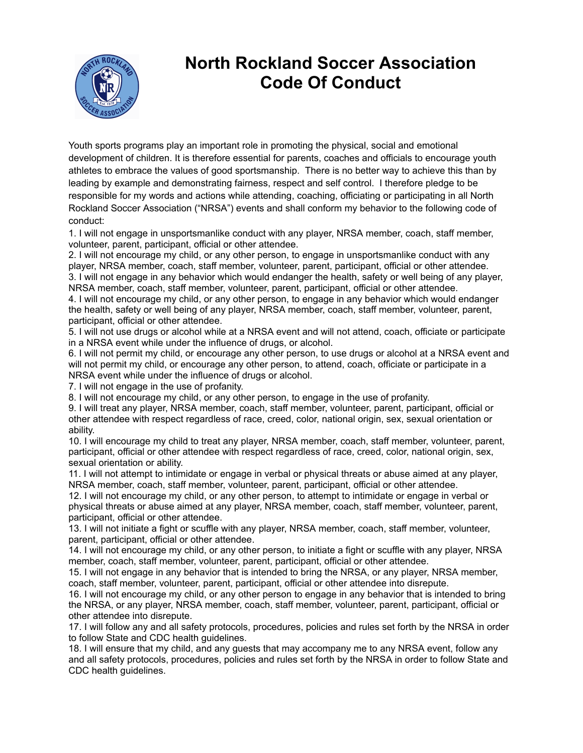

## **North Rockland Soccer Association Code Of Conduct**

Youth sports programs play an important role in promoting the physical, social and emotional development of children. It is therefore essential for parents, coaches and officials to encourage youth athletes to embrace the values of good sportsmanship. There is no better way to achieve this than by leading by example and demonstrating fairness, respect and self control. I therefore pledge to be responsible for my words and actions while attending, coaching, officiating or participating in all North Rockland Soccer Association ("NRSA") events and shall conform my behavior to the following code of conduct:

1. I will not engage in unsportsmanlike conduct with any player, NRSA member, coach, staff member, volunteer, parent, participant, official or other attendee.

2. I will not encourage my child, or any other person, to engage in unsportsmanlike conduct with any player, NRSA member, coach, staff member, volunteer, parent, participant, official or other attendee. 3. I will not engage in any behavior which would endanger the health, safety or well being of any player, NRSA member, coach, staff member, volunteer, parent, participant, official or other attendee.

4. I will not encourage my child, or any other person, to engage in any behavior which would endanger the health, safety or well being of any player, NRSA member, coach, staff member, volunteer, parent, participant, official or other attendee.

5. I will not use drugs or alcohol while at a NRSA event and will not attend, coach, officiate or participate in a NRSA event while under the influence of drugs, or alcohol.

6. I will not permit my child, or encourage any other person, to use drugs or alcohol at a NRSA event and will not permit my child, or encourage any other person, to attend, coach, officiate or participate in a NRSA event while under the influence of drugs or alcohol.

7. I will not engage in the use of profanity.

8. I will not encourage my child, or any other person, to engage in the use of profanity.

9. I will treat any player, NRSA member, coach, staff member, volunteer, parent, participant, official or other attendee with respect regardless of race, creed, color, national origin, sex, sexual orientation or ability.

10. I will encourage my child to treat any player, NRSA member, coach, staff member, volunteer, parent, participant, official or other attendee with respect regardless of race, creed, color, national origin, sex, sexual orientation or ability.

11. I will not attempt to intimidate or engage in verbal or physical threats or abuse aimed at any player, NRSA member, coach, staff member, volunteer, parent, participant, official or other attendee.

12. I will not encourage my child, or any other person, to attempt to intimidate or engage in verbal or physical threats or abuse aimed at any player, NRSA member, coach, staff member, volunteer, parent, participant, official or other attendee.

13. I will not initiate a fight or scuffle with any player, NRSA member, coach, staff member, volunteer, parent, participant, official or other attendee.

14. I will not encourage my child, or any other person, to initiate a fight or scuffle with any player, NRSA member, coach, staff member, volunteer, parent, participant, official or other attendee.

15. I will not engage in any behavior that is intended to bring the NRSA, or any player, NRSA member, coach, staff member, volunteer, parent, participant, official or other attendee into disrepute.

16. I will not encourage my child, or any other person to engage in any behavior that is intended to bring the NRSA, or any player, NRSA member, coach, staff member, volunteer, parent, participant, official or other attendee into disrepute.

17. I will follow any and all safety protocols, procedures, policies and rules set forth by the NRSA in order to follow State and CDC health guidelines.

18. I will ensure that my child, and any guests that may accompany me to any NRSA event, follow any and all safety protocols, procedures, policies and rules set forth by the NRSA in order to follow State and CDC health guidelines.